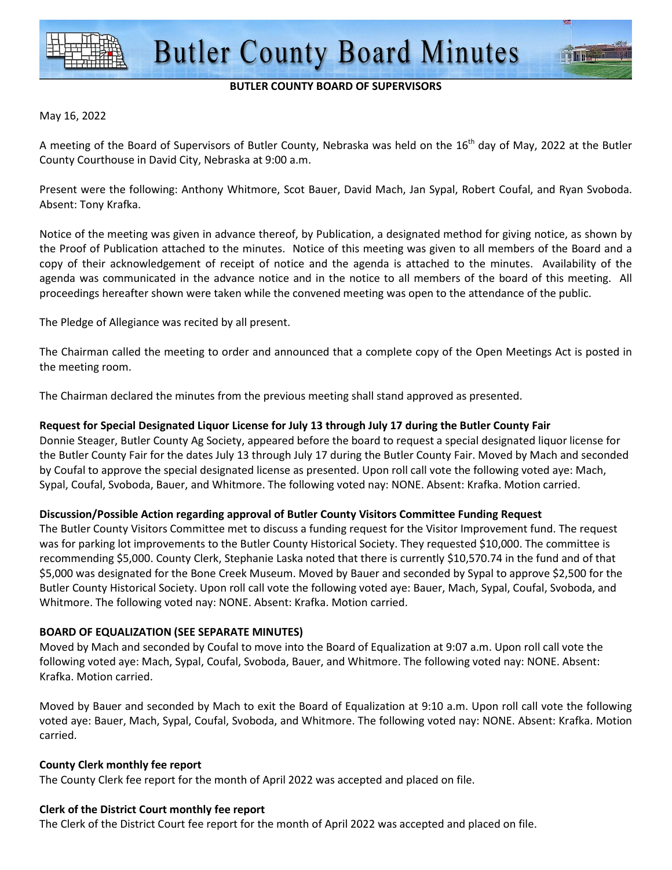

#### **BUTLER COUNTY BOARD OF SUPERVISORS**

#### May 16, 2022

A meeting of the Board of Supervisors of Butler County, Nebraska was held on the  $16<sup>th</sup>$  day of May, 2022 at the Butler County Courthouse in David City, Nebraska at 9:00 a.m.

Present were the following: Anthony Whitmore, Scot Bauer, David Mach, Jan Sypal, Robert Coufal, and Ryan Svoboda. Absent: Tony Krafka.

Notice of the meeting was given in advance thereof, by Publication, a designated method for giving notice, as shown by the Proof of Publication attached to the minutes. Notice of this meeting was given to all members of the Board and a copy of their acknowledgement of receipt of notice and the agenda is attached to the minutes. Availability of the agenda was communicated in the advance notice and in the notice to all members of the board of this meeting. All proceedings hereafter shown were taken while the convened meeting was open to the attendance of the public.

The Pledge of Allegiance was recited by all present.

The Chairman called the meeting to order and announced that a complete copy of the Open Meetings Act is posted in the meeting room.

The Chairman declared the minutes from the previous meeting shall stand approved as presented.

#### **Request for Special Designated Liquor License for July 13 through July 17 during the Butler County Fair**

Donnie Steager, Butler County Ag Society, appeared before the board to request a special designated liquor license for the Butler County Fair for the dates July 13 through July 17 during the Butler County Fair. Moved by Mach and seconded by Coufal to approve the special designated license as presented. Upon roll call vote the following voted aye: Mach, Sypal, Coufal, Svoboda, Bauer, and Whitmore. The following voted nay: NONE. Absent: Krafka. Motion carried.

#### **Discussion/Possible Action regarding approval of Butler County Visitors Committee Funding Request**

The Butler County Visitors Committee met to discuss a funding request for the Visitor Improvement fund. The request was for parking lot improvements to the Butler County Historical Society. They requested \$10,000. The committee is recommending \$5,000. County Clerk, Stephanie Laska noted that there is currently \$10,570.74 in the fund and of that \$5,000 was designated for the Bone Creek Museum. Moved by Bauer and seconded by Sypal to approve \$2,500 for the Butler County Historical Society. Upon roll call vote the following voted aye: Bauer, Mach, Sypal, Coufal, Svoboda, and Whitmore. The following voted nay: NONE. Absent: Krafka. Motion carried.

#### **BOARD OF EQUALIZATION (SEE SEPARATE MINUTES)**

Moved by Mach and seconded by Coufal to move into the Board of Equalization at 9:07 a.m. Upon roll call vote the following voted aye: Mach, Sypal, Coufal, Svoboda, Bauer, and Whitmore. The following voted nay: NONE. Absent: Krafka. Motion carried.

Moved by Bauer and seconded by Mach to exit the Board of Equalization at 9:10 a.m. Upon roll call vote the following voted aye: Bauer, Mach, Sypal, Coufal, Svoboda, and Whitmore. The following voted nay: NONE. Absent: Krafka. Motion carried.

#### **County Clerk monthly fee report**

The County Clerk fee report for the month of April 2022 was accepted and placed on file.

#### **Clerk of the District Court monthly fee report**

The Clerk of the District Court fee report for the month of April 2022 was accepted and placed on file.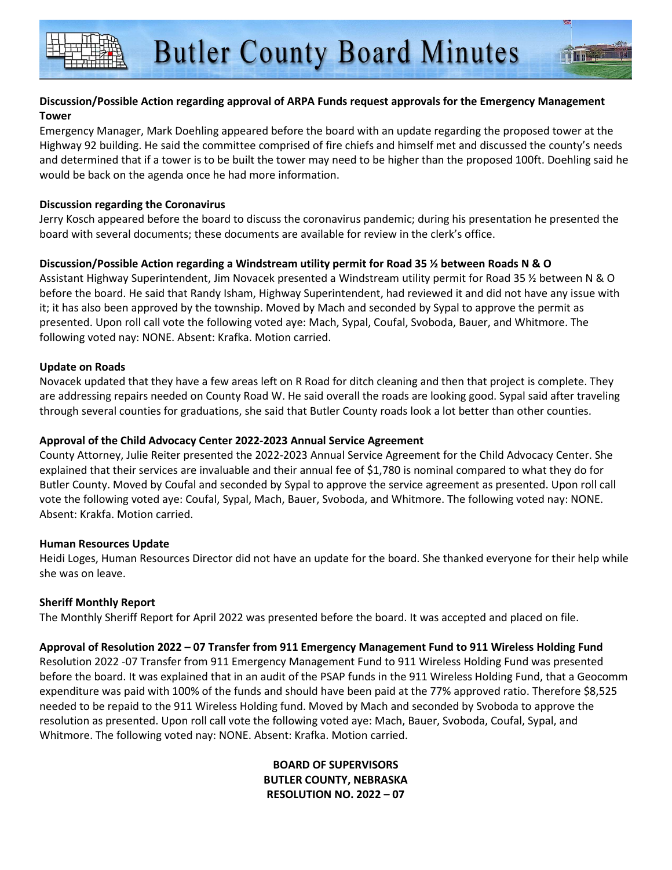#### **Discussion/Possible Action regarding approval of ARPA Funds request approvals for the Emergency Management Tower**

Emergency Manager, Mark Doehling appeared before the board with an update regarding the proposed tower at the Highway 92 building. He said the committee comprised of fire chiefs and himself met and discussed the county's needs and determined that if a tower is to be built the tower may need to be higher than the proposed 100ft. Doehling said he would be back on the agenda once he had more information.

#### **Discussion regarding the Coronavirus**

Jerry Kosch appeared before the board to discuss the coronavirus pandemic; during his presentation he presented the board with several documents; these documents are available for review in the clerk's office.

#### **Discussion/Possible Action regarding a Windstream utility permit for Road 35 ½ between Roads N & O**

Assistant Highway Superintendent, Jim Novacek presented a Windstream utility permit for Road 35 % between N & O before the board. He said that Randy Isham, Highway Superintendent, had reviewed it and did not have any issue with it; it has also been approved by the township. Moved by Mach and seconded by Sypal to approve the permit as presented. Upon roll call vote the following voted aye: Mach, Sypal, Coufal, Svoboda, Bauer, and Whitmore. The following voted nay: NONE. Absent: Krafka. Motion carried.

#### **Update on Roads**

Novacek updated that they have a few areas left on R Road for ditch cleaning and then that project is complete. They are addressing repairs needed on County Road W. He said overall the roads are looking good. Sypal said after traveling through several counties for graduations, she said that Butler County roads look a lot better than other counties.

#### **Approval of the Child Advocacy Center 2022-2023 Annual Service Agreement**

County Attorney, Julie Reiter presented the 2022-2023 Annual Service Agreement for the Child Advocacy Center. She explained that their services are invaluable and their annual fee of \$1,780 is nominal compared to what they do for Butler County. Moved by Coufal and seconded by Sypal to approve the service agreement as presented. Upon roll call vote the following voted aye: Coufal, Sypal, Mach, Bauer, Svoboda, and Whitmore. The following voted nay: NONE. Absent: Krakfa. Motion carried.

#### **Human Resources Update**

Heidi Loges, Human Resources Director did not have an update for the board. She thanked everyone for their help while she was on leave.

#### **Sheriff Monthly Report**

The Monthly Sheriff Report for April 2022 was presented before the board. It was accepted and placed on file.

#### **Approval of Resolution 2022 – 07 Transfer from 911 Emergency Management Fund to 911 Wireless Holding Fund**

Resolution 2022 -07 Transfer from 911 Emergency Management Fund to 911 Wireless Holding Fund was presented before the board. It was explained that in an audit of the PSAP funds in the 911 Wireless Holding Fund, that a Geocomm expenditure was paid with 100% of the funds and should have been paid at the 77% approved ratio. Therefore \$8,525 needed to be repaid to the 911 Wireless Holding fund. Moved by Mach and seconded by Svoboda to approve the resolution as presented. Upon roll call vote the following voted aye: Mach, Bauer, Svoboda, Coufal, Sypal, and Whitmore. The following voted nay: NONE. Absent: Krafka. Motion carried.

> **BOARD OF SUPERVISORS BUTLER COUNTY, NEBRASKA RESOLUTION NO. 2022 – 07**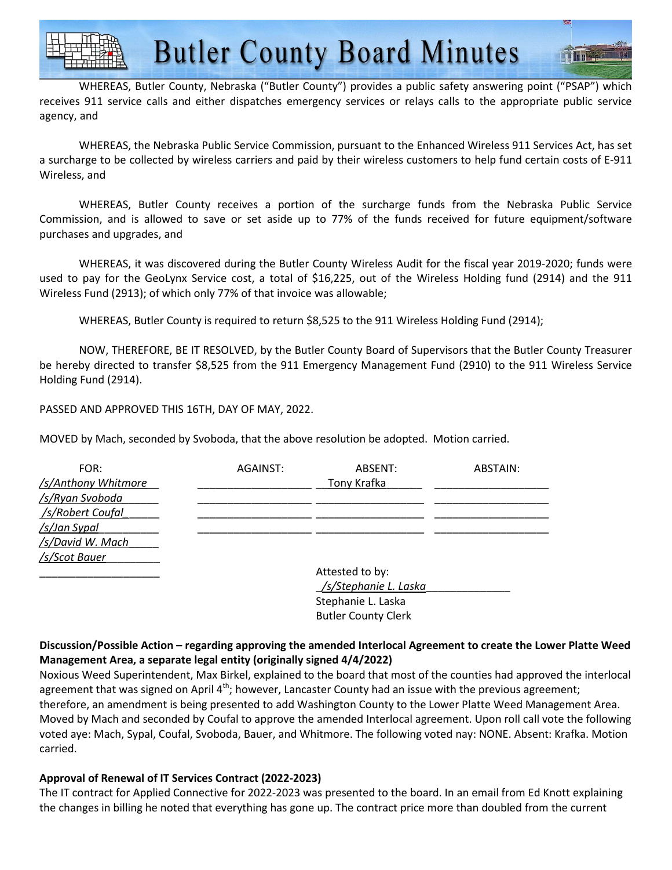WHEREAS, Butler County, Nebraska ("Butler County") provides a public safety answering point ("PSAP") which receives 911 service calls and either dispatches emergency services or relays calls to the appropriate public service agency, and

WHEREAS, the Nebraska Public Service Commission, pursuant to the Enhanced Wireless 911 Services Act, has set a surcharge to be collected by wireless carriers and paid by their wireless customers to help fund certain costs of E-911 Wireless, and

WHEREAS, Butler County receives a portion of the surcharge funds from the Nebraska Public Service Commission, and is allowed to save or set aside up to 77% of the funds received for future equipment/software purchases and upgrades, and

WHEREAS, it was discovered during the Butler County Wireless Audit for the fiscal year 2019-2020; funds were used to pay for the GeoLynx Service cost, a total of \$16,225, out of the Wireless Holding fund (2914) and the 911 Wireless Fund (2913); of which only 77% of that invoice was allowable;

WHEREAS, Butler County is required to return \$8,525 to the 911 Wireless Holding Fund (2914);

NOW, THEREFORE, BE IT RESOLVED, by the Butler County Board of Supervisors that the Butler County Treasurer be hereby directed to transfer \$8,525 from the 911 Emergency Management Fund (2910) to the 911 Wireless Service Holding Fund (2914).

PASSED AND APPROVED THIS 16TH, DAY OF MAY, 2022.

MOVED by Mach, seconded by Svoboda, that the above resolution be adopted. Motion carried.

| FOR:                | AGAINST: | ABSENT:         | ABSTAIN: |
|---------------------|----------|-----------------|----------|
| /s/Anthony Whitmore |          | Tony Krafka     |          |
| /s/Ryan Svoboda     |          |                 |          |
| /s/Robert Coufal    |          |                 |          |
| /s/Jan Sypal        |          |                 |          |
| /s/David W. Mach    |          |                 |          |
| /s/Scot Bauer       |          |                 |          |
|                     |          | Attested to by: |          |
|                     |          |                 |          |

| ALLESIEU IU DY.            |  |
|----------------------------|--|
| /s/Stephanie L. Laska      |  |
| Stephanie L. Laska         |  |
| <b>Butler County Clerk</b> |  |
|                            |  |

#### **Discussion/Possible Action – regarding approving the amended Interlocal Agreement to create the Lower Platte Weed Management Area, a separate legal entity (originally signed 4/4/2022)**

Noxious Weed Superintendent, Max Birkel, explained to the board that most of the counties had approved the interlocal agreement that was signed on April  $4<sup>th</sup>$ ; however, Lancaster County had an issue with the previous agreement; therefore, an amendment is being presented to add Washington County to the Lower Platte Weed Management Area. Moved by Mach and seconded by Coufal to approve the amended Interlocal agreement. Upon roll call vote the following voted aye: Mach, Sypal, Coufal, Svoboda, Bauer, and Whitmore. The following voted nay: NONE. Absent: Krafka. Motion carried.

#### **Approval of Renewal of IT Services Contract (2022-2023)**

The IT contract for Applied Connective for 2022-2023 was presented to the board. In an email from Ed Knott explaining the changes in billing he noted that everything has gone up. The contract price more than doubled from the current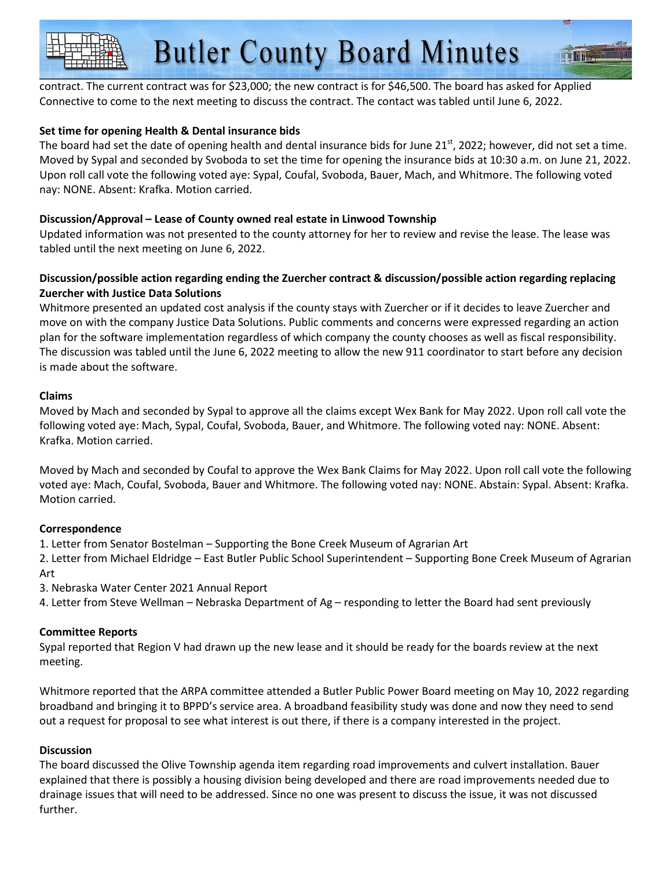contract. The current contract was for \$23,000; the new contract is for \$46,500. The board has asked for Applied Connective to come to the next meeting to discuss the contract. The contact was tabled until June 6, 2022.

#### **Set time for opening Health & Dental insurance bids**

The board had set the date of opening health and dental insurance bids for June  $21<sup>st</sup>$ , 2022; however, did not set a time. Moved by Sypal and seconded by Svoboda to set the time for opening the insurance bids at 10:30 a.m. on June 21, 2022. Upon roll call vote the following voted aye: Sypal, Coufal, Svoboda, Bauer, Mach, and Whitmore. The following voted nay: NONE. Absent: Krafka. Motion carried.

#### **Discussion/Approval – Lease of County owned real estate in Linwood Township**

Updated information was not presented to the county attorney for her to review and revise the lease. The lease was tabled until the next meeting on June 6, 2022.

#### **Discussion/possible action regarding ending the Zuercher contract & discussion/possible action regarding replacing Zuercher with Justice Data Solutions**

Whitmore presented an updated cost analysis if the county stays with Zuercher or if it decides to leave Zuercher and move on with the company Justice Data Solutions. Public comments and concerns were expressed regarding an action plan for the software implementation regardless of which company the county chooses as well as fiscal responsibility. The discussion was tabled until the June 6, 2022 meeting to allow the new 911 coordinator to start before any decision is made about the software.

#### **Claims**

Moved by Mach and seconded by Sypal to approve all the claims except Wex Bank for May 2022. Upon roll call vote the following voted aye: Mach, Sypal, Coufal, Svoboda, Bauer, and Whitmore. The following voted nay: NONE. Absent: Krafka. Motion carried.

Moved by Mach and seconded by Coufal to approve the Wex Bank Claims for May 2022. Upon roll call vote the following voted aye: Mach, Coufal, Svoboda, Bauer and Whitmore. The following voted nay: NONE. Abstain: Sypal. Absent: Krafka. Motion carried.

#### **Correspondence**

1. Letter from Senator Bostelman – Supporting the Bone Creek Museum of Agrarian Art

2. Letter from Michael Eldridge – East Butler Public School Superintendent – Supporting Bone Creek Museum of Agrarian Art

3. Nebraska Water Center 2021 Annual Report

4. Letter from Steve Wellman – Nebraska Department of Ag – responding to letter the Board had sent previously

#### **Committee Reports**

Sypal reported that Region V had drawn up the new lease and it should be ready for the boards review at the next meeting.

Whitmore reported that the ARPA committee attended a Butler Public Power Board meeting on May 10, 2022 regarding broadband and bringing it to BPPD's service area. A broadband feasibility study was done and now they need to send out a request for proposal to see what interest is out there, if there is a company interested in the project.

#### **Discussion**

The board discussed the Olive Township agenda item regarding road improvements and culvert installation. Bauer explained that there is possibly a housing division being developed and there are road improvements needed due to drainage issues that will need to be addressed. Since no one was present to discuss the issue, it was not discussed further.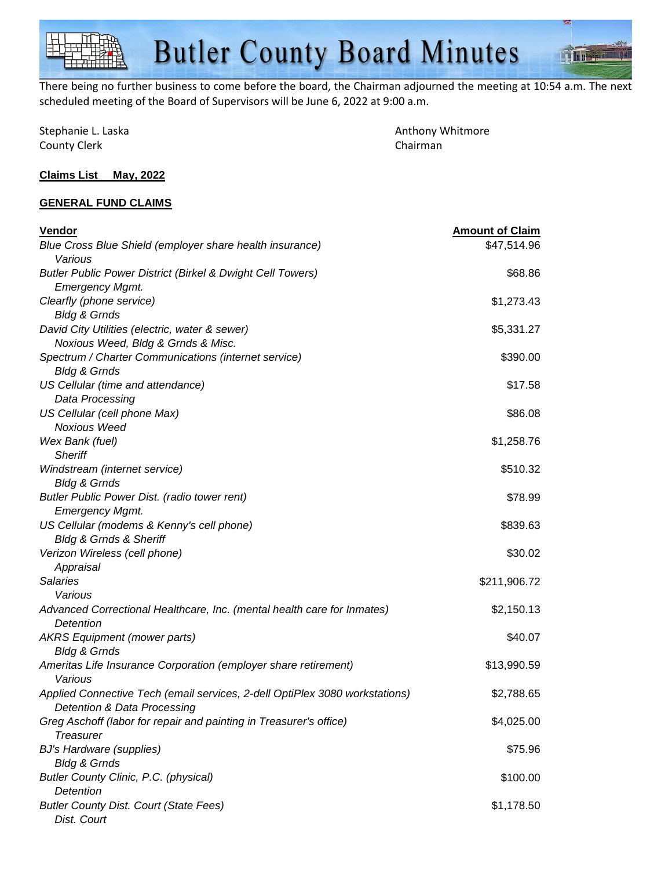There being no further business to come before the board, the Chairman adjourned the meeting at 10:54 a.m. The next scheduled meeting of the Board of Supervisors will be June 6, 2022 at 9:00 a.m.

| Stephanie L. Laska  |  |
|---------------------|--|
| <b>County Clerk</b> |  |

Anthony Whitmore Chairman

#### **Claims List May, 2022**

#### **GENERAL FUND CLAIMS**

| Vendor                                                                             | <b>Amount of Claim</b> |
|------------------------------------------------------------------------------------|------------------------|
| Blue Cross Blue Shield (employer share health insurance)                           | \$47,514.96            |
| Various                                                                            |                        |
| <b>Butler Public Power District (Birkel &amp; Dwight Cell Towers)</b>              | \$68.86                |
| <b>Emergency Mgmt.</b>                                                             |                        |
| Clearfly (phone service)                                                           | \$1,273.43             |
| <b>Bldg &amp; Grnds</b>                                                            |                        |
| David City Utilities (electric, water & sewer)                                     | \$5,331.27             |
| Noxious Weed, Bldg & Grnds & Misc.                                                 |                        |
| Spectrum / Charter Communications (internet service)                               | \$390.00               |
| <b>Bldg &amp; Grnds</b>                                                            |                        |
| US Cellular (time and attendance)                                                  | \$17.58                |
| Data Processing                                                                    |                        |
| US Cellular (cell phone Max)                                                       | \$86.08                |
| <b>Noxious Weed</b>                                                                |                        |
| Wex Bank (fuel)                                                                    | \$1,258.76             |
| <b>Sheriff</b>                                                                     |                        |
| Windstream (internet service)                                                      | \$510.32               |
| <b>Bldg &amp; Grnds</b>                                                            |                        |
| Butler Public Power Dist. (radio tower rent)                                       | \$78.99                |
| <b>Emergency Mgmt.</b>                                                             |                        |
| US Cellular (modems & Kenny's cell phone)<br><b>Bldg &amp; Grnds &amp; Sheriff</b> | \$839.63               |
| Verizon Wireless (cell phone)                                                      | \$30.02                |
| Appraisal                                                                          |                        |
| <b>Salaries</b>                                                                    | \$211,906.72           |
| Various                                                                            |                        |
| Advanced Correctional Healthcare, Inc. (mental health care for Inmates)            | \$2,150.13             |
| Detention                                                                          |                        |
| <b>AKRS</b> Equipment (mower parts)                                                | \$40.07                |
| <b>Bldg &amp; Grnds</b>                                                            |                        |
| Ameritas Life Insurance Corporation (employer share retirement)                    | \$13,990.59            |
| Various                                                                            |                        |
| Applied Connective Tech (email services, 2-dell OptiPlex 3080 workstations)        | \$2,788.65             |
| Detention & Data Processing                                                        |                        |
| Greg Aschoff (labor for repair and painting in Treasurer's office)                 | \$4,025.00             |
| Treasurer                                                                          |                        |
| <b>BJ's Hardware (supplies)</b>                                                    | \$75.96                |
| <b>Bldg &amp; Grnds</b>                                                            |                        |
| Butler County Clinic, P.C. (physical)                                              | \$100.00               |
| <b>Detention</b>                                                                   |                        |
| <b>Butler County Dist. Court (State Fees)</b>                                      | \$1,178.50             |
| Dist. Court                                                                        |                        |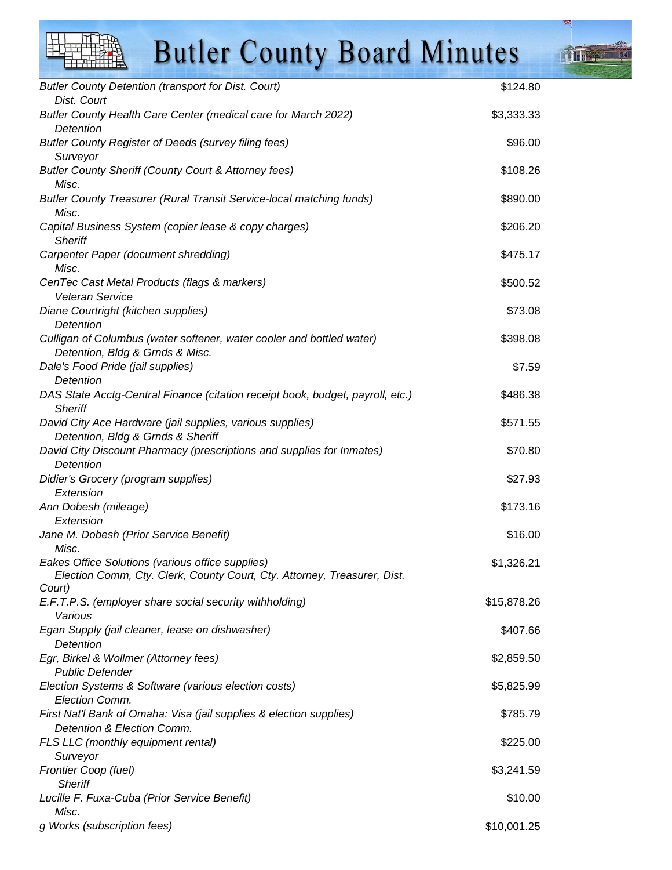Butler County Detention (transport for Dist. Court)  $$124.80$  Dist. Court Butler County Health Care Center (medical care for March 2022) \$3,333.33 \$33,333.33 **Detention** Butler County Register of Deeds (survey filing fees) \$96.00 Surveyor Butler County Sheriff (County Court & Attorney fees)  $$108.26$  Misc. Butler County Treasurer (Rural Transit Service-local matching funds) \$890.00 Misc. Capital Business System (copier lease & copy charges)  $$206.20$ **Sheriff** Carpenter Paper (document shredding)  $$475.17$  Misc. CenTec Cast Metal Products (flags & markers) \$500.52 Veteran Service Diane Courtright (kitchen supplies) \$73.08 **Detention** Culligan of Columbus (water softener, water cooler and bottled water) \$398.08 Detention, Bldg & Grnds & Misc. Dale's Food Pride (jail supplies) \$7.59 **Detention** DAS State Acctg-Central Finance (citation receipt book, budget, payroll, etc.) \$486.38 **Sheriff** David City Ace Hardware (jail supplies, various supplies)  $$571.55$  Detention, Bldg & Grnds & Sheriff David City Discount Pharmacy (prescriptions and supplies for Inmates) \$70.80 **Detention** Didier's Grocery (program supplies)  $\frac{1}{27.93}$ **Extension** Ann Dobesh (mileage) \$173.16 Extension Jane M. Dobesh (Prior Service Benefit) \$16.00 Misc. Eakes Office Solutions (various office supplies)  $$1,326.21$  Election Comm, Cty. Clerk, County Court, Cty. Attorney, Treasurer, Dist. Court) E.F.T.P.S. (employer share social security withholding) \$15,878.26 Various Egan Supply (jail cleaner, lease on dishwasher) \$407.66 **Detention** Egr, Birkel & Wollmer (Attorney fees) \$2,859.50 Public Defender Election Systems & Software (various election costs)  $$5,825.99$  Election Comm. First Nat'l Bank of Omaha: Visa (jail supplies & election supplies) \$785.79 Detention & Election Comm. FLS LLC (monthly equipment rental)  $$225.00$  Surveyor Frontier Coop (fuel) \$3,241.59 **Sheriff** Lucille F. Fuxa-Cuba (Prior Service Benefit)  $$10.00$  Misc. g Works (subscription fees)  $\sim$  310,001.25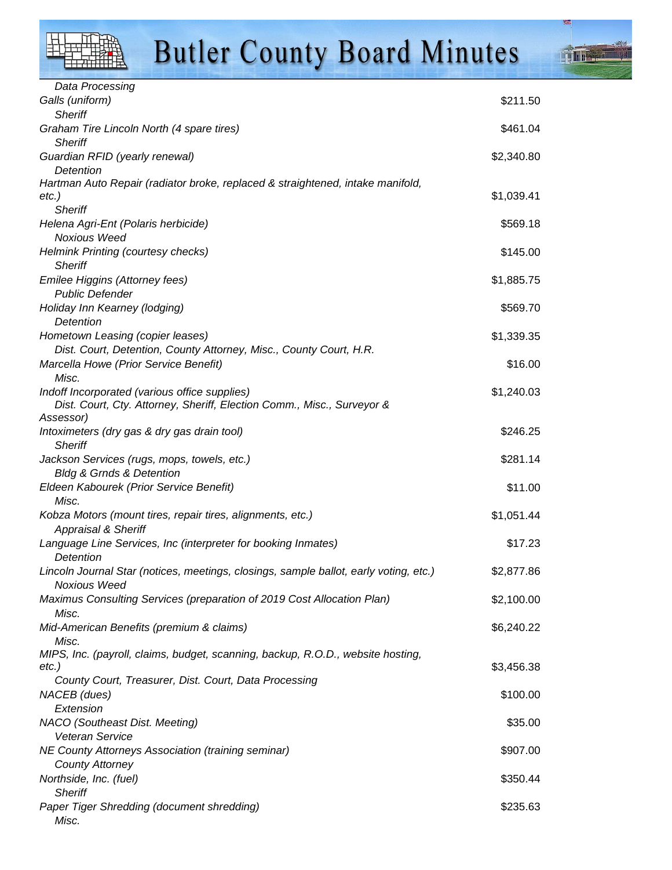**Time** 

| Data Processing                                                                                           |            |
|-----------------------------------------------------------------------------------------------------------|------------|
| Galls (uniform)                                                                                           | \$211.50   |
| <b>Sheriff</b>                                                                                            |            |
| Graham Tire Lincoln North (4 spare tires)<br><b>Sheriff</b>                                               | \$461.04   |
| Guardian RFID (yearly renewal)                                                                            | \$2,340.80 |
| Detention                                                                                                 |            |
| Hartman Auto Repair (radiator broke, replaced & straightened, intake manifold,<br>etc.)<br><b>Sheriff</b> | \$1,039.41 |
| Helena Agri-Ent (Polaris herbicide)                                                                       | \$569.18   |
| Noxious Weed                                                                                              |            |
| Helmink Printing (courtesy checks)                                                                        | \$145.00   |
| <b>Sheriff</b>                                                                                            |            |
| Emilee Higgins (Attorney fees)                                                                            | \$1,885.75 |
| <b>Public Defender</b>                                                                                    |            |
| Holiday Inn Kearney (lodging)                                                                             | \$569.70   |
| Detention                                                                                                 |            |
| Hometown Leasing (copier leases)                                                                          | \$1,339.35 |
| Dist. Court, Detention, County Attorney, Misc., County Court, H.R.                                        |            |
| Marcella Howe (Prior Service Benefit)                                                                     | \$16.00    |
| Misc.<br>Indoff Incorporated (various office supplies)                                                    | \$1,240.03 |
| Dist. Court, Cty. Attorney, Sheriff, Election Comm., Misc., Surveyor &                                    |            |
| Assessor)                                                                                                 |            |
| Intoximeters (dry gas & dry gas drain tool)                                                               | \$246.25   |
| <b>Sheriff</b>                                                                                            |            |
| Jackson Services (rugs, mops, towels, etc.)                                                               | \$281.14   |
| <b>Bldg &amp; Grnds &amp; Detention</b>                                                                   |            |
| Eldeen Kabourek (Prior Service Benefit)                                                                   | \$11.00    |
| Misc.                                                                                                     |            |
| Kobza Motors (mount tires, repair tires, alignments, etc.)<br><b>Appraisal &amp; Sheriff</b>              | \$1,051.44 |
| Language Line Services, Inc (interpreter for booking Inmates)<br>Detention                                | \$17.23    |
| Lincoln Journal Star (notices, meetings, closings, sample ballot, early voting, etc.)                     | \$2,877.86 |
| Noxious Weed                                                                                              |            |
| Maximus Consulting Services (preparation of 2019 Cost Allocation Plan)                                    | \$2,100.00 |
| Misc.<br>Mid-American Benefits (premium & claims)                                                         | \$6,240.22 |
| Misc.                                                                                                     |            |
| MIPS, Inc. (payroll, claims, budget, scanning, backup, R.O.D., website hosting,                           |            |
| etc.)                                                                                                     | \$3,456.38 |
| County Court, Treasurer, Dist. Court, Data Processing                                                     |            |
| NACEB (dues)                                                                                              | \$100.00   |
| Extension                                                                                                 |            |
| NACO (Southeast Dist. Meeting)                                                                            | \$35.00    |
| Veteran Service                                                                                           |            |
| <b>NE County Attorneys Association (training seminar)</b>                                                 | \$907.00   |
| <b>County Attorney</b>                                                                                    | \$350.44   |
| Northside, Inc. (fuel)<br><b>Sheriff</b>                                                                  |            |
| Paper Tiger Shredding (document shredding)                                                                | \$235.63   |
|                                                                                                           |            |

Misc.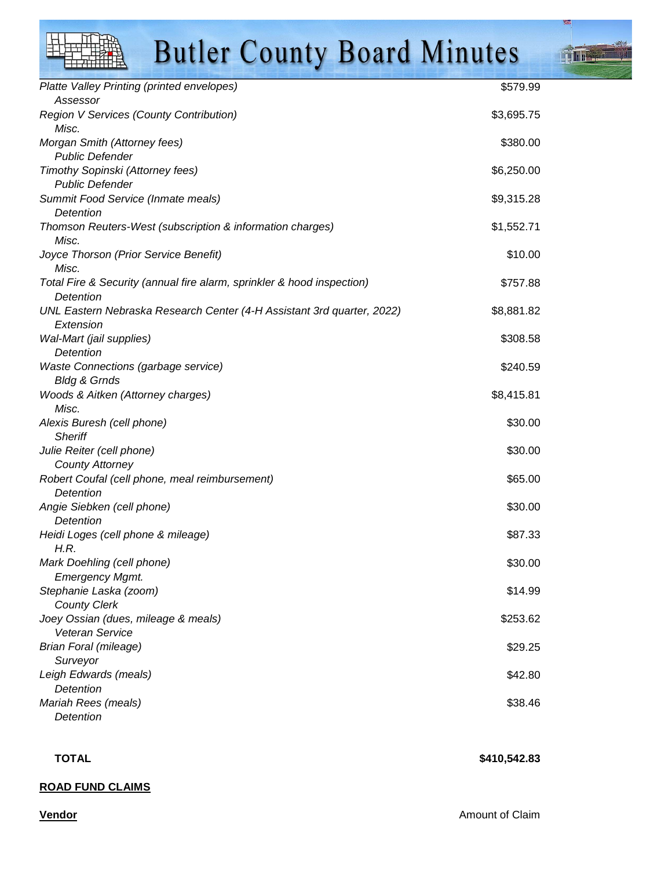| Platte Valley Printing (printed envelopes)                             | \$579.99   |
|------------------------------------------------------------------------|------------|
| Assessor<br>Region V Services (County Contribution)                    | \$3,695.75 |
| Misc.                                                                  |            |
| Morgan Smith (Attorney fees)                                           | \$380.00   |
| <b>Public Defender</b>                                                 |            |
| Timothy Sopinski (Attorney fees)<br><b>Public Defender</b>             | \$6,250.00 |
| Summit Food Service (Inmate meals)                                     | \$9,315.28 |
| Detention                                                              |            |
| Thomson Reuters-West (subscription & information charges)              | \$1,552.71 |
| Misc.                                                                  |            |
| Joyce Thorson (Prior Service Benefit)                                  | \$10.00    |
| Misc.                                                                  |            |
| Total Fire & Security (annual fire alarm, sprinkler & hood inspection) | \$757.88   |
| Detention                                                              |            |
| UNL Eastern Nebraska Research Center (4-H Assistant 3rd quarter, 2022) | \$8,881.82 |
| Extension                                                              |            |
| Wal-Mart (jail supplies)                                               | \$308.58   |
| Detention                                                              |            |
| Waste Connections (garbage service)                                    | \$240.59   |
| <b>Bldg &amp; Grnds</b>                                                |            |
| Woods & Aitken (Attorney charges)                                      | \$8,415.81 |
| Misc.                                                                  |            |
| Alexis Buresh (cell phone)<br><b>Sheriff</b>                           | \$30.00    |
| Julie Reiter (cell phone)                                              | \$30.00    |
| <b>County Attorney</b>                                                 |            |
| Robert Coufal (cell phone, meal reimbursement)                         | \$65.00    |
| Detention                                                              |            |
| Angie Siebken (cell phone)                                             | \$30.00    |
| Detention                                                              |            |
| Heidi Loges (cell phone & mileage)                                     | \$87.33    |
| H.R.                                                                   |            |
| Mark Doehling (cell phone)                                             | \$30.00    |
| <b>Emergency Mgmt.</b>                                                 |            |
| Stephanie Laska (zoom)                                                 | \$14.99    |
| <b>County Clerk</b>                                                    |            |
| Joey Ossian (dues, mileage & meals)                                    | \$253.62   |
| <b>Veteran Service</b>                                                 |            |
| Brian Foral (mileage)                                                  | \$29.25    |
| Surveyor                                                               |            |
| Leigh Edwards (meals)<br>Detention                                     | \$42.80    |
| Mariah Rees (meals)                                                    | \$38.46    |
| Detention                                                              |            |
|                                                                        |            |

#### **TOTAL** \$410,542.83

#### **ROAD FUND CLAIMS**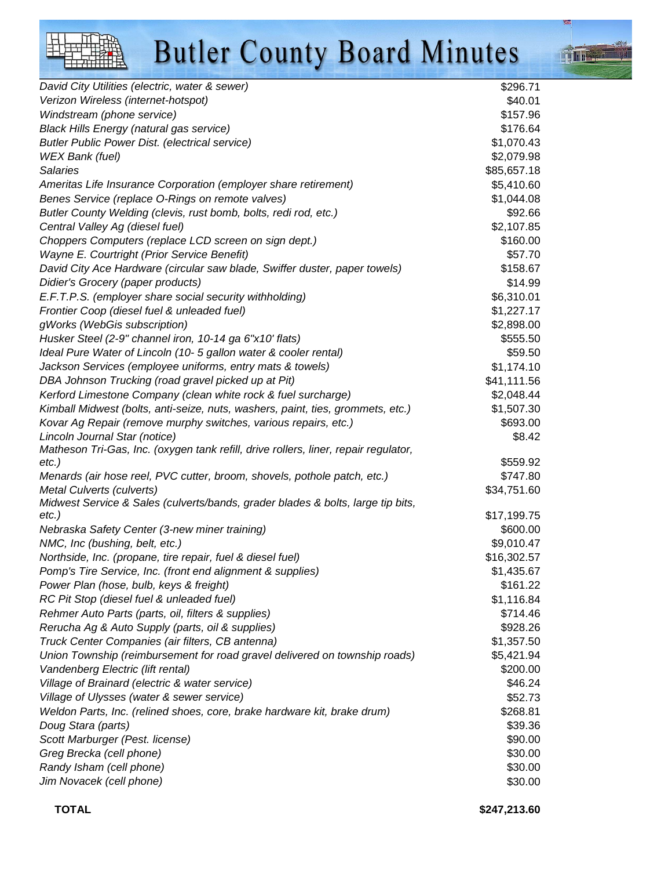| David City Utilities (electric, water & sewer)                                              | \$296.71    |
|---------------------------------------------------------------------------------------------|-------------|
| Verizon Wireless (internet-hotspot)                                                         | \$40.01     |
| Windstream (phone service)                                                                  | \$157.96    |
| <b>Black Hills Energy (natural gas service)</b>                                             | \$176.64    |
| <b>Butler Public Power Dist. (electrical service)</b>                                       | \$1,070.43  |
| WEX Bank (fuel)                                                                             | \$2,079.98  |
| <b>Salaries</b>                                                                             | \$85,657.18 |
| Ameritas Life Insurance Corporation (employer share retirement)                             | \$5,410.60  |
| Benes Service (replace O-Rings on remote valves)                                            | \$1,044.08  |
| Butler County Welding (clevis, rust bomb, bolts, redi rod, etc.)                            | \$92.66     |
| Central Valley Ag (diesel fuel)                                                             | \$2,107.85  |
| Choppers Computers (replace LCD screen on sign dept.)                                       | \$160.00    |
| Wayne E. Courtright (Prior Service Benefit)                                                 | \$57.70     |
| David City Ace Hardware (circular saw blade, Swiffer duster, paper towels)                  | \$158.67    |
| Didier's Grocery (paper products)                                                           | \$14.99     |
| E.F.T.P.S. (employer share social security withholding)                                     | \$6,310.01  |
| Frontier Coop (diesel fuel & unleaded fuel)                                                 | \$1,227.17  |
| gWorks (WebGis subscription)                                                                | \$2,898.00  |
| Husker Steel (2-9" channel iron, 10-14 ga 6"x10' flats)                                     | \$555.50    |
| Ideal Pure Water of Lincoln (10- 5 gallon water & cooler rental)                            | \$59.50     |
| Jackson Services (employee uniforms, entry mats & towels)                                   | \$1,174.10  |
| DBA Johnson Trucking (road gravel picked up at Pit)                                         | \$41,111.56 |
| Kerford Limestone Company (clean white rock & fuel surcharge)                               | \$2,048.44  |
| Kimball Midwest (bolts, anti-seize, nuts, washers, paint, ties, grommets, etc.)             | \$1,507.30  |
| Kovar Ag Repair (remove murphy switches, various repairs, etc.)                             | \$693.00    |
| Lincoln Journal Star (notice)                                                               | \$8.42      |
| Matheson Tri-Gas, Inc. (oxygen tank refill, drive rollers, liner, repair regulator,         |             |
| $etc.$ )                                                                                    | \$559.92    |
| Menards (air hose reel, PVC cutter, broom, shovels, pothole patch, etc.)                    | \$747.80    |
| Metal Culverts (culverts)                                                                   | \$34,751.60 |
| Midwest Service & Sales (culverts/bands, grader blades & bolts, large tip bits,<br>$etc.$ ) | \$17,199.75 |
| Nebraska Safety Center (3-new miner training)                                               | \$600.00    |
| NMC, Inc (bushing, belt, etc.)                                                              | \$9,010.47  |
| Northside, Inc. (propane, tire repair, fuel & diesel fuel)                                  | \$16,302.57 |
| Pomp's Tire Service, Inc. (front end alignment & supplies)                                  | \$1,435.67  |
| Power Plan (hose, bulb, keys & freight)                                                     | \$161.22    |
| RC Pit Stop (diesel fuel & unleaded fuel)                                                   | \$1,116.84  |
| Rehmer Auto Parts (parts, oil, filters & supplies)                                          | \$714.46    |
| Rerucha Ag & Auto Supply (parts, oil & supplies)                                            | \$928.26    |
| Truck Center Companies (air filters, CB antenna)                                            | \$1,357.50  |
| Union Township (reimbursement for road gravel delivered on township roads)                  | \$5,421.94  |
| Vandenberg Electric (lift rental)                                                           | \$200.00    |
| Village of Brainard (electric & water service)                                              | \$46.24     |
| Village of Ulysses (water & sewer service)                                                  | \$52.73     |
| Weldon Parts, Inc. (relined shoes, core, brake hardware kit, brake drum)                    | \$268.81    |
| Doug Stara (parts)                                                                          | \$39.36     |
| Scott Marburger (Pest. license)                                                             | \$90.00     |
| Greg Brecka (cell phone)                                                                    | \$30.00     |
| Randy Isham (cell phone)                                                                    | \$30.00     |
| Jim Novacek (cell phone)                                                                    | \$30.00     |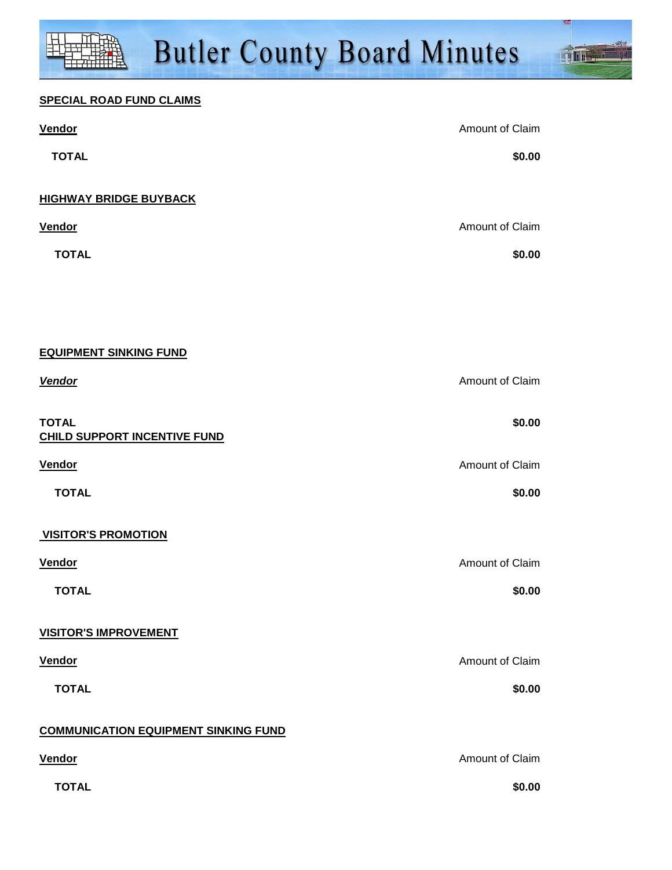**Time** 

| <b>Vendor</b>                                | Amount of Claim |
|----------------------------------------------|-----------------|
| <b>TOTAL</b>                                 | \$0.00          |
| <b>HIGHWAY BRIDGE BUYBACK</b>                |                 |
| <b>Vendor</b>                                | Amount of Claim |
| <b>TOTAL</b>                                 | \$0.00          |
|                                              |                 |
|                                              |                 |
| <b>EQUIPMENT SINKING FUND</b>                |                 |
| Vendor                                       | Amount of Claim |
|                                              |                 |
| <b>TOTAL</b><br>CHILD SUPPORT INCENTIVE FUND | \$0.00          |
| <b>Vendor</b>                                | Amount of Claim |
| <b>TOTAL</b>                                 | \$0.00          |
|                                              |                 |
| <b>VISITOR'S PROMOTION</b>                   |                 |
| Vendor                                       | Amount of Claim |
| <b>TOTAL</b>                                 | \$0.00          |
| <b>VISITOR'S IMPROVEMENT</b>                 |                 |
| <b>Vendor</b>                                | Amount of Claim |
| <b>TOTAL</b>                                 | \$0.00          |
| <b>COMMUNICATION EQUIPMENT SINKING FUND</b>  |                 |
| <b>Vendor</b>                                | Amount of Claim |
| <b>TOTAL</b>                                 | \$0.00          |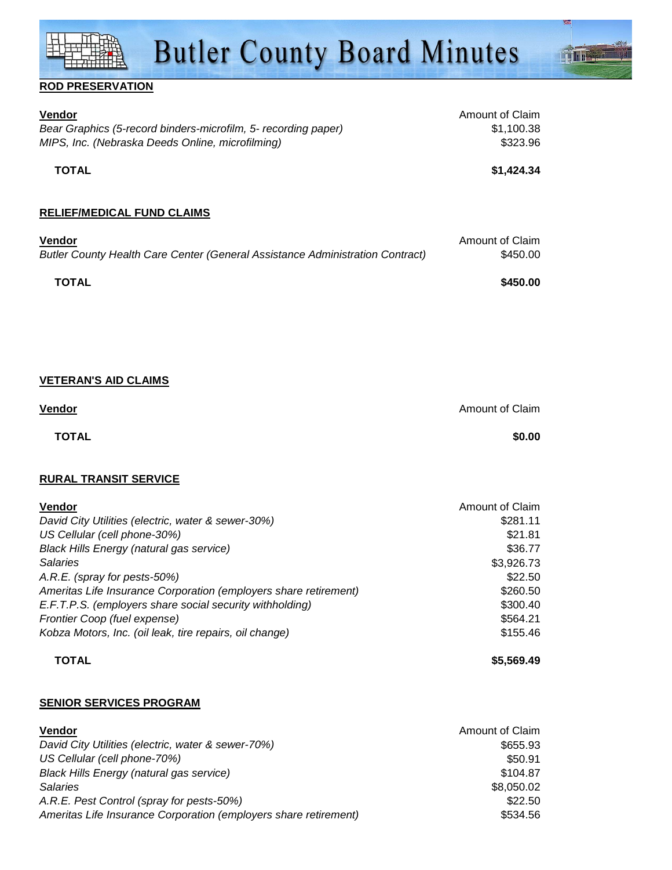

#### **ROD PRESERVATION**

| <b>Vendor</b><br>Bear Graphics (5-record binders-microfilm, 5- recording paper)                                                                                                                                                                                        | Amount of Claim<br>\$1,100.38                                              |
|------------------------------------------------------------------------------------------------------------------------------------------------------------------------------------------------------------------------------------------------------------------------|----------------------------------------------------------------------------|
| MIPS, Inc. (Nebraska Deeds Online, microfilming)                                                                                                                                                                                                                       | \$323.96                                                                   |
| <b>TOTAL</b>                                                                                                                                                                                                                                                           | \$1,424.34                                                                 |
|                                                                                                                                                                                                                                                                        |                                                                            |
| <b>RELIEF/MEDICAL FUND CLAIMS</b>                                                                                                                                                                                                                                      |                                                                            |
|                                                                                                                                                                                                                                                                        |                                                                            |
| <b>Vendor</b><br>Butler County Health Care Center (General Assistance Administration Contract)                                                                                                                                                                         | Amount of Claim<br>\$450.00                                                |
| <b>TOTAL</b>                                                                                                                                                                                                                                                           | \$450.00                                                                   |
|                                                                                                                                                                                                                                                                        |                                                                            |
|                                                                                                                                                                                                                                                                        |                                                                            |
|                                                                                                                                                                                                                                                                        |                                                                            |
|                                                                                                                                                                                                                                                                        |                                                                            |
| <b>VETERAN'S AID CLAIMS</b>                                                                                                                                                                                                                                            |                                                                            |
| Vendor                                                                                                                                                                                                                                                                 | Amount of Claim                                                            |
|                                                                                                                                                                                                                                                                        |                                                                            |
| <b>TOTAL</b>                                                                                                                                                                                                                                                           | \$0.00                                                                     |
|                                                                                                                                                                                                                                                                        |                                                                            |
| <b>RURAL TRANSIT SERVICE</b>                                                                                                                                                                                                                                           |                                                                            |
|                                                                                                                                                                                                                                                                        |                                                                            |
|                                                                                                                                                                                                                                                                        |                                                                            |
|                                                                                                                                                                                                                                                                        |                                                                            |
|                                                                                                                                                                                                                                                                        |                                                                            |
|                                                                                                                                                                                                                                                                        |                                                                            |
|                                                                                                                                                                                                                                                                        |                                                                            |
|                                                                                                                                                                                                                                                                        | \$260.50                                                                   |
| Vendor<br>David City Utilities (electric, water & sewer-30%)<br>US Cellular (cell phone-30%)<br><b>Black Hills Energy (natural gas service)</b><br><b>Salaries</b><br>A.R.E. (spray for pests-50%)<br>Ameritas Life Insurance Corporation (employers share retirement) | Amount of Claim<br>\$281.11<br>\$21.81<br>\$36.77<br>\$3,926.73<br>\$22.50 |

Frontier Coop (fuel expense)  $$564.21$ Kobza Motors, Inc. (oil leak, tire repairs, oil change)  $$155.46$ **TOTAL \$5,569.49**

#### **SENIOR SERVICES PROGRAM**

| <b>Vendor</b>                                                    | Amount of Claim |
|------------------------------------------------------------------|-----------------|
| David City Utilities (electric, water & sewer-70%)               | \$655.93        |
| US Cellular (cell phone-70%)                                     | \$50.91         |
| Black Hills Energy (natural gas service)                         | \$104.87        |
| <b>Salaries</b>                                                  | \$8,050.02      |
| A.R.E. Pest Control (spray for pests-50%)                        | \$22.50         |
| Ameritas Life Insurance Corporation (employers share retirement) | \$534.56        |

E.F.T.P.S. (employers share social security withholding) \$300.40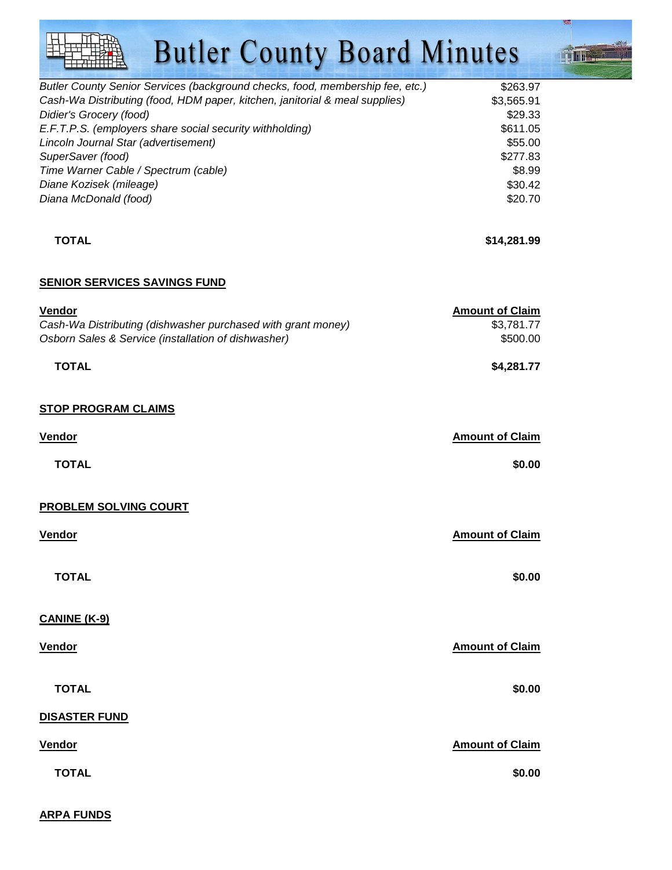**Tillet** 

| Butler County Senior Services (background checks, food, membership fee, etc.) | \$263.97   |
|-------------------------------------------------------------------------------|------------|
| Cash-Wa Distributing (food, HDM paper, kitchen, janitorial & meal supplies)   | \$3,565.91 |
| Didier's Grocery (food)                                                       | \$29.33    |
| E.F.T.P.S. (employers share social security withholding)                      | \$611.05   |
| Lincoln Journal Star (advertisement)                                          | \$55.00    |
| SuperSaver (food)                                                             | \$277.83   |
| Time Warner Cable / Spectrum (cable)                                          | \$8.99     |
| Diane Kozisek (mileage)                                                       | \$30.42    |
| Diana McDonald (food)                                                         | \$20.70    |
|                                                                               |            |

#### **TOTAL** \$14,281.99

### **SENIOR SERVICES SAVINGS FUND**

| Vendor                                                       | <b>Amount of Claim</b> |
|--------------------------------------------------------------|------------------------|
| Cash-Wa Distributing (dishwasher purchased with grant money) | \$3,781.77             |
| Osborn Sales & Service (installation of dishwasher)          | \$500.00               |
| <b>TOTAL</b>                                                 | \$4,281.77             |
| <b>STOP PROGRAM CLAIMS</b>                                   |                        |
| <b>Vendor</b>                                                | <b>Amount of Claim</b> |
| <b>TOTAL</b>                                                 | \$0.00                 |
| <b>PROBLEM SOLVING COURT</b>                                 |                        |
| <b>Vendor</b>                                                | <b>Amount of Claim</b> |
| <b>TOTAL</b>                                                 | \$0.00                 |
| <b>CANINE (K-9)</b>                                          |                        |
| Vendor                                                       | <b>Amount of Claim</b> |
| <b>TOTAL</b>                                                 | \$0.00                 |
| <b>DISASTER FUND</b>                                         |                        |
| Vendor                                                       | <b>Amount of Claim</b> |
| <b>TOTAL</b>                                                 | \$0.00                 |

**ARPA FUNDS**